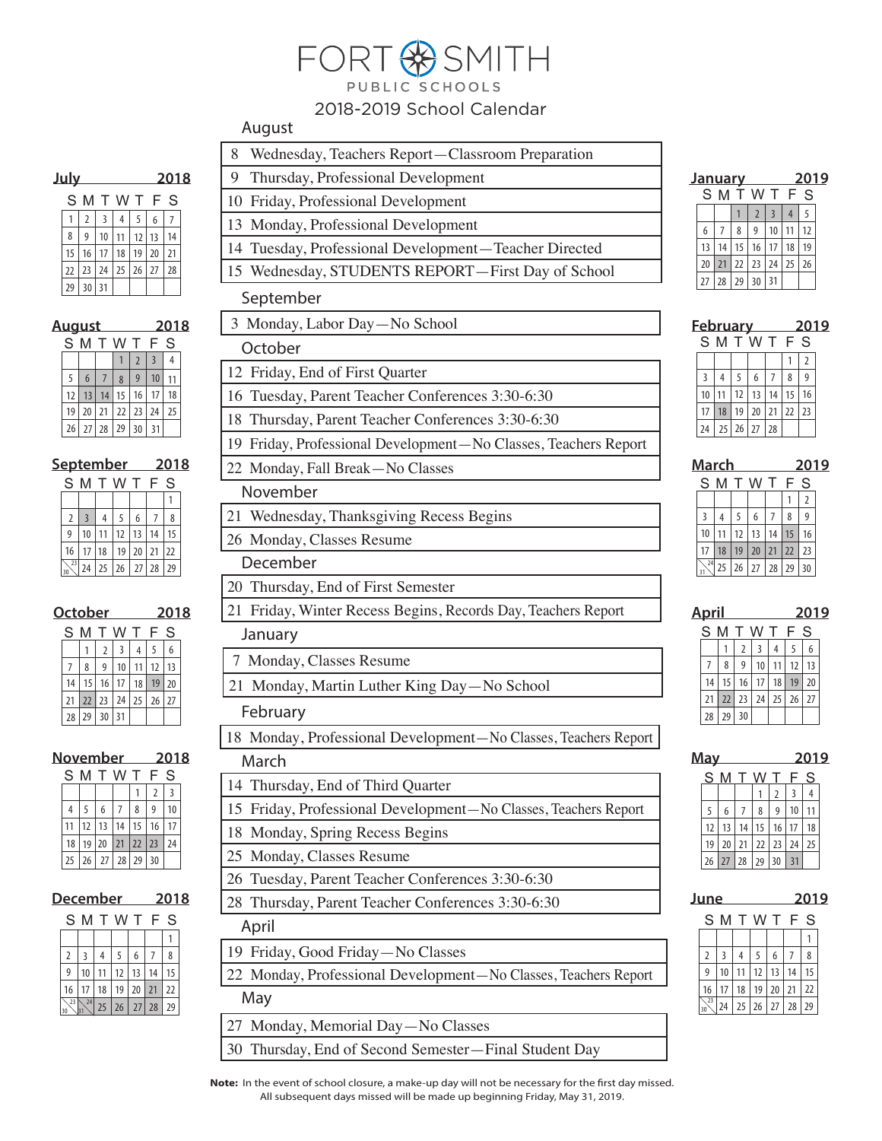## FORT<sup>8</sup>SMITH PUBLIC SCHOOLS

## 2018-2019 School Calendar

## August

| <u>July</u> |                |                |         | 2018 |    |    |  |
|-------------|----------------|----------------|---------|------|----|----|--|
|             | S M            |                | T W T F |      |    | S  |  |
|             | $\overline{2}$ | $\overline{3}$ | 4       | 5    | 6  | 7  |  |
| 8           | 9              | 10             | 11      | 12   | 13 | 14 |  |
| 15          | 16             | 17             | 18      | 19   | 20 | 21 |  |
| 22          | 23             | 24             | 25      | 26   | 27 | 28 |  |
| 29          | 30             | 31             |         |      |    |    |  |

| <u>August</u> |    |     |    |     | 2018 |    |  |
|---------------|----|-----|----|-----|------|----|--|
| S M           |    | T W |    | -11 | F    | S  |  |
|               |    |     |    | 2   |      |    |  |
| 5             | 6  |     | 8  | 9   | 10   |    |  |
| 12            | 13 | 14  | 15 | 16  | 17   | 18 |  |
| 19            | 20 | 21  | 22 | 23  | 24   | 25 |  |
| 26            | 27 | 28  | 29 | 30  | 31   |    |  |

|                |    |                | <u>September</u> |      | 2018 |    |  |
|----------------|----|----------------|------------------|------|------|----|--|
| S M            |    | T W            |                  | - 11 | F.   | S  |  |
|                |    |                |                  |      |      |    |  |
| $\overline{2}$ |    | $\overline{4}$ | 5                | 6    |      | 8  |  |
|                | 10 | 11             | 12               | 13   | 14   | 15 |  |
| 16             | 17 | 18             | 19               | 20   | 21   | 22 |  |
| 23             | 24 |                | $25 \mid 26$     | 27   | 28   | 29 |  |

|     | October |                | 2018  |    |    |    |  |
|-----|---------|----------------|-------|----|----|----|--|
| S M |         |                | T W T |    | F  | S  |  |
|     |         | $\overline{2}$ | 3     | 4  | 5  | 6  |  |
|     | 8       | 9              | 10    |    | 12 | 13 |  |
| 14  | 15      | 16             | 17    | 18 | 19 | 20 |  |
| 21  | 22      | 23             | 24    | 25 | 26 | 27 |  |
| 28  | 29      | 30             | 31    |    |    |    |  |

| <b>November</b> | 2018 |    |                     |    |                |    |  |
|-----------------|------|----|---------------------|----|----------------|----|--|
| S M             |      |    | T W T               |    | F              | S  |  |
|                 |      |    |                     |    | $\overline{2}$ |    |  |
| 4               | 5    | 6  |                     | 8  | q              | 10 |  |
| 11              | 12   | 13 | 14                  | 15 | 16             |    |  |
| 18              |      |    | 19 20 21 22 23      |    |                | 24 |  |
| 25              |      |    | $26$   27   28   29 |    | 30             |    |  |
|                 |      |    |                     |    |                |    |  |

| December | 2018 |
|----------|------|
|          |      |

| S  | M  |    |    |    | F  |    |
|----|----|----|----|----|----|----|
|    |    |    |    |    |    |    |
| 2  |    | 4  | 5  | 6  |    | 8  |
| 9  | 10 |    | 12 | 13 | 14 | 15 |
| 16 | 17 | 18 | 19 | 20 | 21 | 22 |
| 23 | 24 | 25 | 26 | 27 | 28 | 29 |

| nuyust                                                             |
|--------------------------------------------------------------------|
| 8<br>Wednesday, Teachers Report-Classroom Preparation              |
| Thursday, Professional Development<br>9.                           |
| 10 Friday, Professional Development                                |
| 13 Monday, Professional Development                                |
| 14 Tuesday, Professional Development-Teacher Directed              |
| 15 Wednesday, STUDENTS REPORT-First Day of School                  |
| September                                                          |
| 3 Monday, Labor Day-No School                                      |
| October                                                            |
| 12 Friday, End of First Quarter                                    |
| 16 Tuesday, Parent Teacher Conferences 3:30-6:30                   |
| 18 Thursday, Parent Teacher Conferences 3:30-6:30                  |
| 19 Friday, Professional Development-No Classes, Teachers Report    |
| 22 Monday, Fall Break-No Classes                                   |
| November                                                           |
| 21 Wednesday, Thanksgiving Recess Begins                           |
| 26 Monday, Classes Resume                                          |
| December                                                           |
| 20 Thursday, End of First Semester                                 |
| 21 Friday, Winter Recess Begins, Records Day, Teachers Report      |
| January                                                            |
| 7 Monday, Classes Resume                                           |
| 21 Monday, Martin Luther King Day-No School                        |
| February                                                           |
| 18 Monday, Professional Development-No Classes, Teachers Report    |
| March                                                              |
| 14 Thursday, End of Third Quarter                                  |
| Friday, Professional Development-No Classes, Teachers Report<br>15 |
| 18 Monday, Spring Recess Begins                                    |
| 25 Monday, Classes Resume                                          |
| 26 Tuesday, Parent Teacher Conferences 3:30-6:30                   |
| 28 Thursday, Parent Teacher Conferences 3:30-6:30                  |
| April                                                              |
| 19 Friday, Good Friday - No Classes                                |
| 22 Monday, Professional Development-No Classes, Teachers Report    |
| May                                                                |
| Monday, Memorial Day-No Classes<br>27                              |

30 Thursday, End of Second Semester—Final Student Day

| <b>January</b> |    |    |                |                 |    | 2019 |  |
|----------------|----|----|----------------|-----------------|----|------|--|
|                |    |    | SMTWTF         |                 |    | S    |  |
|                |    |    | $\overline{2}$ | $\overline{3}$  |    | 5    |  |
| 6              |    | 8  | 9              | 10 <sup>°</sup> | 11 | 12   |  |
| 13             | 14 | 15 | 16             | $\vert$ 17      | 18 | 19   |  |
| 20             | 21 | 22 | 23             | 24              | 25 | 26   |  |
| 27             | 28 | 29 | 30             | 31              |    |      |  |

|    | <b>February</b> |    | 2019                      |    |    |    |  |
|----|-----------------|----|---------------------------|----|----|----|--|
|    |                 |    | SMTWTFS                   |    |    |    |  |
|    |                 |    |                           |    |    | 2  |  |
| 3  | 4               | 5  | 6                         |    | 8  |    |  |
| 10 | 11              | 12 | 13                        | 14 | 15 | 16 |  |
| 17 | 18              | 19 | 20                        | 21 | 22 | 23 |  |
| 24 |                 |    | $25 \mid 26 \mid 27 \mid$ | 28 |    |    |  |

| March |                 |    |                |    | 2019 |    |  |
|-------|-----------------|----|----------------|----|------|----|--|
| S M   |                 |    | T W T          |    | F    | S  |  |
|       |                 |    |                |    |      | 2  |  |
| 3     | 4               | 5  | 6              |    | 8    | 9  |  |
| 10    | 11              | 12 | 13             | 14 | 15   | 16 |  |
| 17    | 18              | 19 | 20             | 21 | 22   | 23 |  |
| 24    | 25 <sub>1</sub> |    | $26$   27   28 |    | 29   | 30 |  |

| April |    |                |    | 2019         |    |    |  |
|-------|----|----------------|----|--------------|----|----|--|
| S     | M  | T W            |    | $\mathbf{I}$ | F  | S  |  |
|       |    | $\overline{2}$ | 3  | 4            | 5  | 6  |  |
|       | 8  | 9              | 10 | 11           | 12 | 13 |  |
| 14    | 15 | 16             | 17 | 18           | 19 | 20 |  |
| 21    | 22 | 23             | 24 | 25           | 26 | 27 |  |
| 28    | 29 | 30             |    |              |    |    |  |
|       |    |                |    |              |    |    |  |

| <b>May</b> |    |                |    |                |    | 2019 |  |
|------------|----|----------------|----|----------------|----|------|--|
| S          | M  |                |    |                | F  | S    |  |
|            |    |                |    | $\overline{2}$ | 3  | 4    |  |
| 5          | 6  | $\overline{7}$ | 8  | 9              | 10 |      |  |
| 12         | 13 | 14             | 15 | 16             | 17 | 18   |  |
| 19         | 20 | 21             | 22 | 23             | 24 | 25   |  |
| 26         | 27 | 28             | 29 | 30             | 31 |      |  |
|            |    |                |    |                |    |      |  |

| June | 2019 |
|------|------|
|      |      |

| S  |    |    |    |    |    | S  |
|----|----|----|----|----|----|----|
|    |    |    |    |    |    |    |
| 2  | 3  | 4  | 5  | 6  |    | 8  |
| 9  | 10 |    | 12 | 13 | 14 | 15 |
| 16 | 17 | 18 | 19 | 20 | 21 | 22 |
| 23 | 24 | 25 | 26 | 27 | 28 | 29 |

**Note:** In the event of school closure, a make-up day will not be necessary for the first day missed. All subsequent days missed will be made up beginning Friday, May 31, 2019.